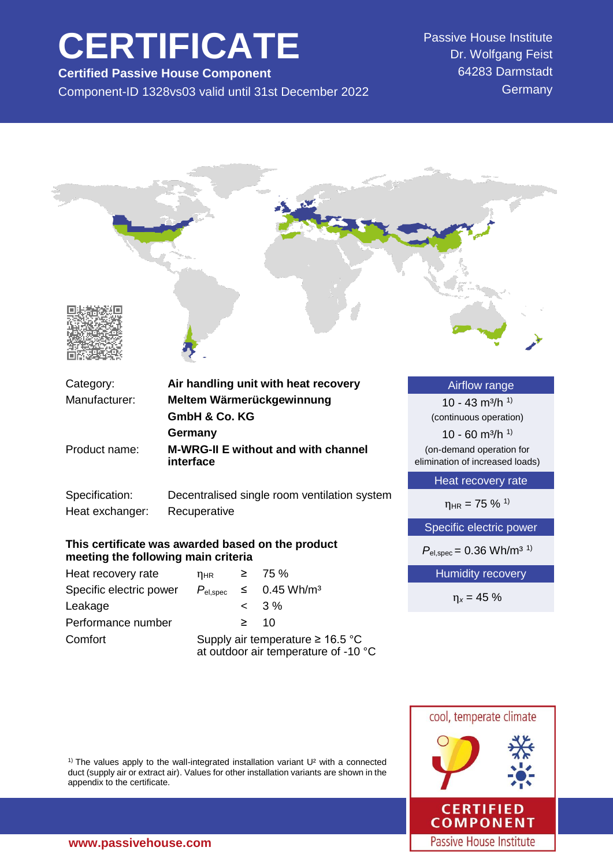# **CERTIFICATE**

**Certified Passive House Component** Component-ID 1328vs03 valid until 31st December 2022 Passive House Institute Dr. Wolfgang Feist 64283 Darmstadt **Germany** 



(on-demand operation for elimination of increased loads)

Heat recovery rate

 $n_{HR} = 75 \%$ <sup>1)</sup>

Specific electric power

 $P_{\text{el,spec}} = 0.36 \text{ Wh/m}^{3}$ <sup>1)</sup>

Humidity recovery

η*<sup>x</sup>* = 45 %

Passive House Institute



<sup>1)</sup> The values apply to the wall-integrated installation variant  $U^2$  with a connected duct (supply air or extract air). Values for other installation variants are shown in the appendix to the certificate.

Product name: **M-WRG-II E without and with channel**

Specification: Decentralised single room ventilation system

**interface**

**This certificate was awarded based on the product**

Specific electric power  $P_{el,spec} \leq 0.45 \text{ Wh/m}^3$ 

Comfort Supply air temperature ≥ 16.5 °C

at outdoor air temperature of -10 °C

Heat exchanger: Recuperative

**meeting the following main criteria**

Heat recovery rate  $n_{HR} \geq 75\%$ 

Leakage  $\sim$  3% Performance number ≥ 10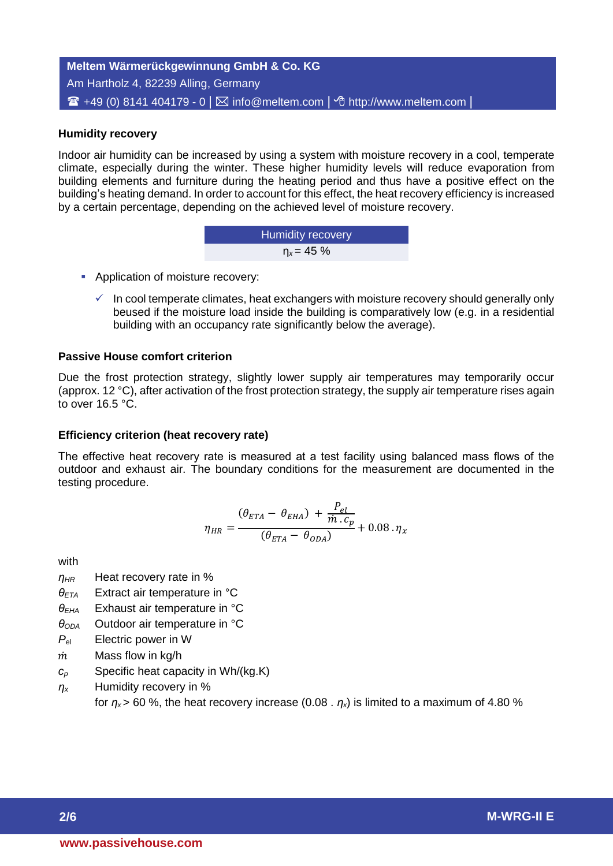**Meltem Wärmerückgewinnung GmbH & Co. KG** Am Hartholz 4, 82239 Alling, Germany  $\mathbf{F}$  +49 (0) 8141 404179 - 0  $\vert\boxtimes$  info@meltem.com  $\vert\triangleleft$  http://www.meltem.com  $\vert$ 

## **Humidity recovery**

**2/6 Humidity recovery** Indoor air humidity can be increased by using a system with moisture recovery in a cool, temperate climate, especially during the winter. These higher humidity levels will reduce evaporation from building elements and furniture during the heating period and thus have a positive effect on the building's heating demand. In order to account for this effect, the heat recovery efficiency is increased by a certain percentage, depending on the achieved level of moisture recovery.

| <b>Humidity recovery</b> |  |
|--------------------------|--|
| $n_x = 45 \%$            |  |

- **Application of moisture recovery:** 
	- $\checkmark$  In cool temperate climates, heat exchangers with moisture recovery should generally only beused if the moisture load inside the building is comparatively low (e.g. in a residential building with an occupancy rate significantly below the average).

#### **Passive House comfort criterion**

Due the frost protection strategy, slightly lower supply air temperatures may temporarily occur (approx. 12 °C), after activation of the frost protection strategy, the supply air temperature rises again to over 16.5 °C.

#### **Efficiency criterion (heat recovery rate)**

The effective heat recovery rate is measured at a test facility using balanced mass flows of the outdoor and exhaust air. The boundary conditions for the measurement are documented in the testing procedure.

$$
\eta_{HR} = \frac{(\theta_{ETA} - \theta_{EHA}) + \frac{P_{el}}{\dot{m} \cdot c_p}}{(\theta_{ETA} - \theta_{ODA})} + 0.08 \cdot \eta_x
$$

with

- *ηHR* Heat recovery rate in %
- *θETA* Extract air temperature in °C
- *θEHA* Exhaust air temperature in °C
- *θODA* Outdoor air temperature in °C
- *P*el Electric power in W
- $\dot{m}$  Mass flow in kg/h
- *c<sup>p</sup>* Specific heat capacity in Wh/(kg.K)
- *η<sup>x</sup>* Humidity recovery in %

for  $n_x$  > 60 %, the heat recovery increase (0.08 .  $n_x$ ) is limited to a maximum of 4.80 %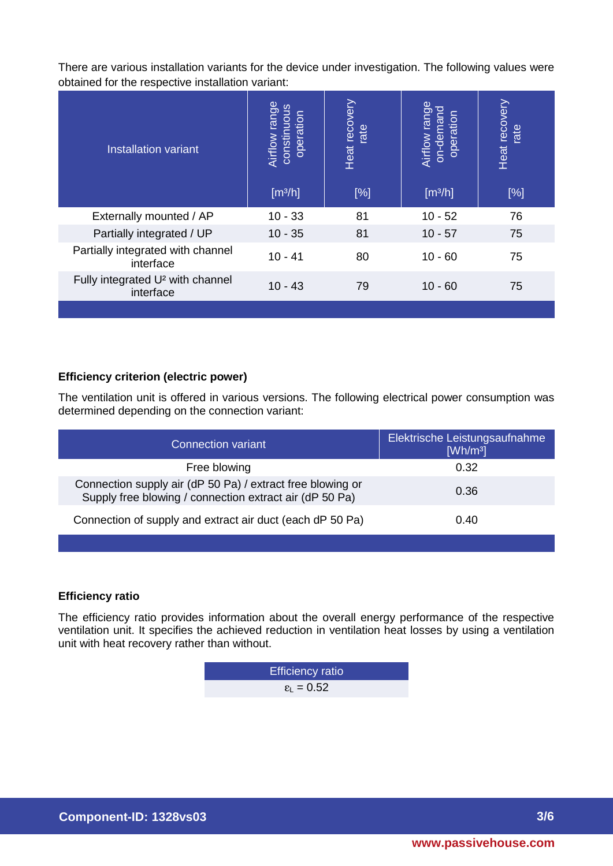There are various installation variants for the device under investigation. The following values were obtained for the respective installation variant:

| <b>Installation variant</b>                               | Airflow range<br>constinuous<br>operation<br>[m <sup>3</sup> /h] | Heat recovery<br>rate<br>[%] | Airflow range<br>on-demand<br>operation<br>[m <sup>3</sup> /h] | Heat recovery<br>rate<br>[%] |
|-----------------------------------------------------------|------------------------------------------------------------------|------------------------------|----------------------------------------------------------------|------------------------------|
| Externally mounted / AP                                   | $10 - 33$                                                        | 81                           | $10 - 52$                                                      | 76                           |
| Partially integrated / UP                                 | $10 - 35$                                                        | 81                           | $10 - 57$                                                      | 75                           |
| Partially integrated with channel<br>interface            | $10 - 41$                                                        | 80                           | $10 - 60$                                                      | 75                           |
| Fully integrated U <sup>2</sup> with channel<br>interface | $10 - 43$                                                        | 79                           | $10 - 60$                                                      | 75                           |
|                                                           |                                                                  |                              |                                                                |                              |

## **Efficiency criterion (electric power)**

The ventilation unit is offered in various versions. The following electrical power consumption was determined depending on the connection variant:

| <b>Connection variant</b>                                                                                             | Elektrische Leistungsaufnahme<br>[Wh/m <sup>3</sup> ] |
|-----------------------------------------------------------------------------------------------------------------------|-------------------------------------------------------|
| Free blowing                                                                                                          | 0.32                                                  |
| Connection supply air (dP 50 Pa) / extract free blowing or<br>Supply free blowing / connection extract air (dP 50 Pa) | 0.36                                                  |
| Connection of supply and extract air duct (each dP 50 Pa)                                                             | 0.40                                                  |

### **Efficiency ratio**

The efficiency ratio provides information about the overall energy performance of the respective ventilation unit. It specifies the achieved reduction in ventilation heat losses by using a ventilation unit with heat recovery rather than without.

| <b>Efficiency ratio</b>      |
|------------------------------|
| $\epsilon_{\text{L}} = 0.52$ |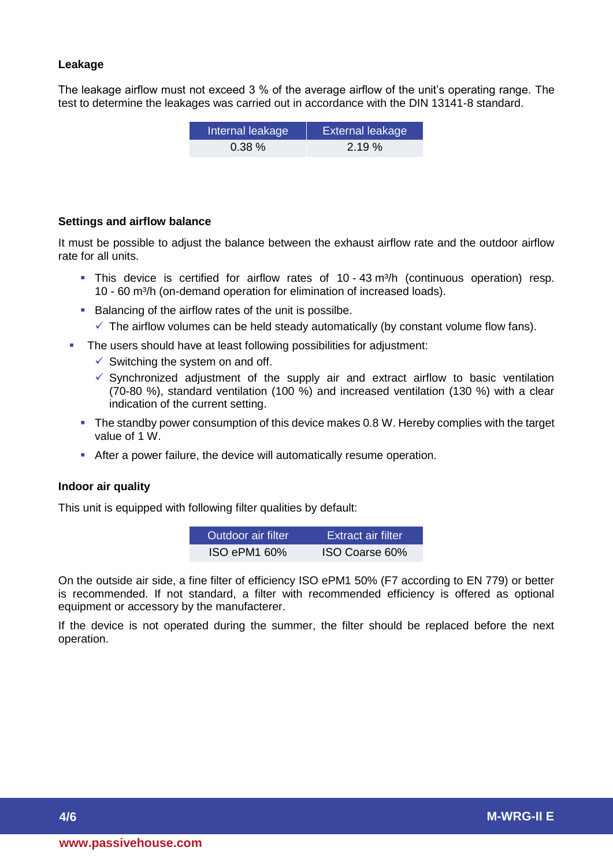## **Leakage**

The leakage airflow must not exceed 3 % of the average airflow of the unit's operating range. The test to determine the leakages was carried out in accordance with the DIN 13141-8 standard.

| Internal leakage | <b>External leakage</b> |
|------------------|-------------------------|
| $0.38\%$         | 2.19%                   |

#### **Settings and airflow balance**

It must be possible to adjust the balance between the exhaust airflow rate and the outdoor airflow rate for all units.

- This device is certified for airflow rates of 10 43 m<sup>3</sup>/h (continuous operation) resp. 10 - 60 m<sup>3</sup>/h (on-demand operation for elimination of increased loads).
- Balancing of the airflow rates of the unit is possilbe.
	- $\checkmark$  The airflow volumes can be held steady automatically (by constant volume flow fans).
- The users should have at least following possibilities for adjustment:
	- $\checkmark$  Switching the system on and off.
	- $\checkmark$  Synchronized adjustment of the supply air and extract airflow to basic ventilation (70-80 %), standard ventilation (100 %) and increased ventilation (130 %) with a clear indication of the current setting.
	- The standby power consumption of this device makes 0.8 W. Hereby complies with the target value of 1 W.
	- After a power failure, the device will automatically resume operation.

## **Indoor air quality**

This unit is equipped with following filter qualities by default:

| Outdoor air filter | ⊦Extract air filter |
|--------------------|---------------------|
| ISO ePM1 60%       | ISO Coarse 60%      |

On the outside air side, a fine filter of efficiency ISO ePM1 50% (F7 according to EN 779) or better is recommended. If not standard, a filter with recommended efficiency is offered as optional equipment or accessory by the manufacterer.

If the device is not operated during the summer, the filter should be replaced before the next operation.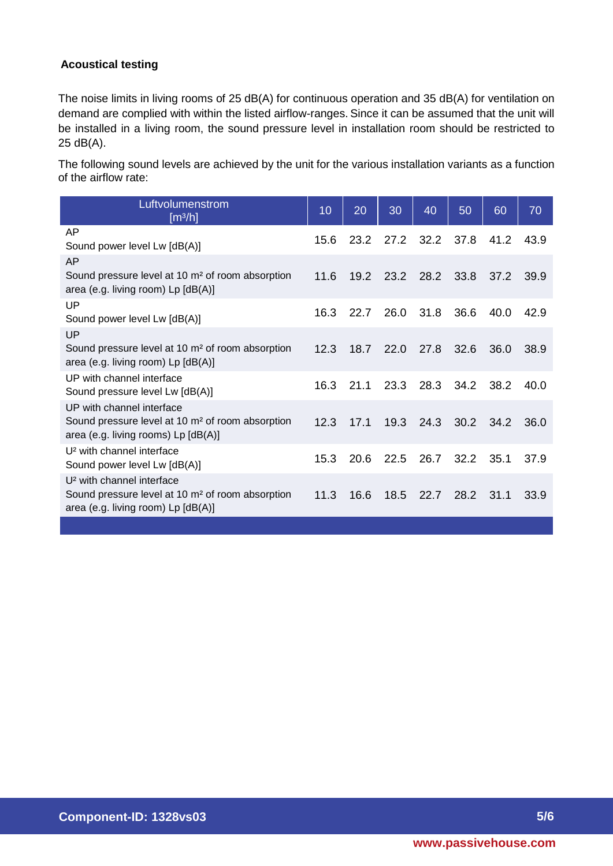## **Acoustical testing**

The noise limits in living rooms of 25 dB(A) for continuous operation and 35 dB(A) for ventilation on demand are complied with within the listed airflow-ranges. Since it can be assumed that the unit will be installed in a living room, the sound pressure level in installation room should be restricted to 25 dB(A).

The following sound levels are achieved by the unit for the various installation variants as a function of the airflow rate:

| Luftvolumenstrom<br>[m <sup>3</sup> /h]                                                                                                     | 10   | 20   | 30             | 40   | 50   | 60   | 70   |
|---------------------------------------------------------------------------------------------------------------------------------------------|------|------|----------------|------|------|------|------|
| AP<br>Sound power level Lw [dB(A)]                                                                                                          | 15.6 | 23.2 | 27.2           | 32.2 | 37.8 | 41.2 | 43.9 |
| AP<br>Sound pressure level at 10 m <sup>2</sup> of room absorption<br>area (e.g. living room) Lp [dB(A)]                                    | 11.6 |      | 19.2 23.2 28.2 |      | 33.8 | 37.2 | 39.9 |
| UP<br>Sound power level Lw [dB(A)]                                                                                                          | 16.3 | 22.7 | 26.0           | 31.8 | 36.6 | 40.0 | 42.9 |
| UP<br>Sound pressure level at 10 m <sup>2</sup> of room absorption<br>area (e.g. living room) Lp [dB(A)]                                    | 12.3 | 18.7 | 22.0           | 27.8 | 32.6 | 36.0 | 38.9 |
| UP with channel interface<br>Sound pressure level Lw [dB(A)]                                                                                | 16.3 | 21.1 | 23.3           | 28.3 | 34.2 | 38.2 | 40.0 |
| UP with channel interface<br>Sound pressure level at 10 m <sup>2</sup> of room absorption<br>area (e.g. living rooms) Lp [dB(A)]            | 12.3 | 17.1 | 19.3           | 24.3 | 30.2 | 34.2 | 36.0 |
| U <sup>2</sup> with channel interface<br>Sound power level Lw [dB(A)]                                                                       | 15.3 | 20.6 | 22.5           | 26.7 | 32.2 | 35.1 | 37.9 |
| U <sup>2</sup> with channel interface<br>Sound pressure level at 10 m <sup>2</sup> of room absorption<br>area (e.g. living room) Lp [dB(A)] | 11.3 | 16.6 | 18.5           | 22.7 | 28.2 | 31.1 | 33.9 |